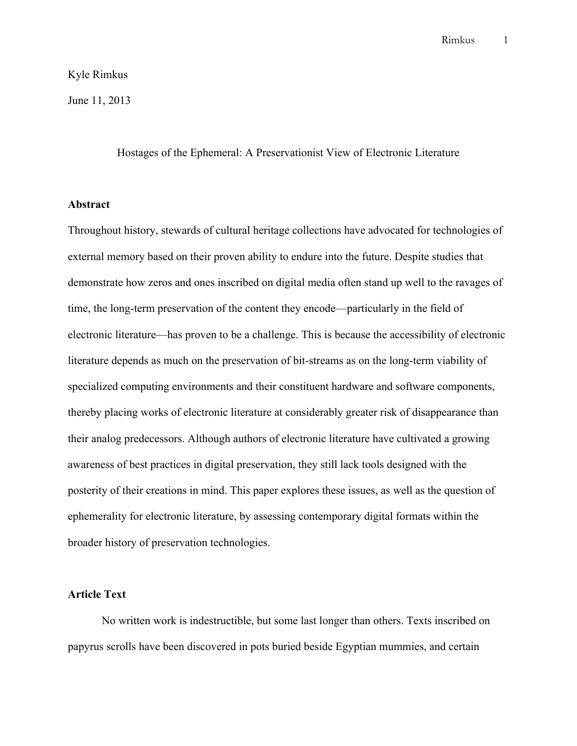## Kyle Rimkus

June 11, 2013

Hostages of the Ephemeral: A Preservationist View of Electronic Literature

## **Abstract**

Throughout history, stewards of cultural heritage collections have advocated for technologies of external memory based on their proven ability to endure into the future. Despite studies that demonstrate how zeros and ones inscribed on digital media often stand up well to the ravages of time, the long-term preservation of the content they encode—particularly in the field of electronic literature—has proven to be a challenge. This is because the accessibility of electronic literature depends as much on the preservation of bit-streams as on the long-term viability of specialized computing environments and their constituent hardware and software components, thereby placing works of electronic literature at considerably greater risk of disappearance than their analog predecessors. Although authors of electronic literature have cultivated a growing awareness of best practices in digital preservation, they still lack tools designed with the posterity of their creations in mind. This paper explores these issues, as well as the question of ephemerality for electronic literature, by assessing contemporary digital formats within the broader history of preservation technologies.

## **Article Text**

No written work is indestructible, but some last longer than others. Texts inscribed on papyrus scrolls have been discovered in pots buried beside Egyptian mummies, and certain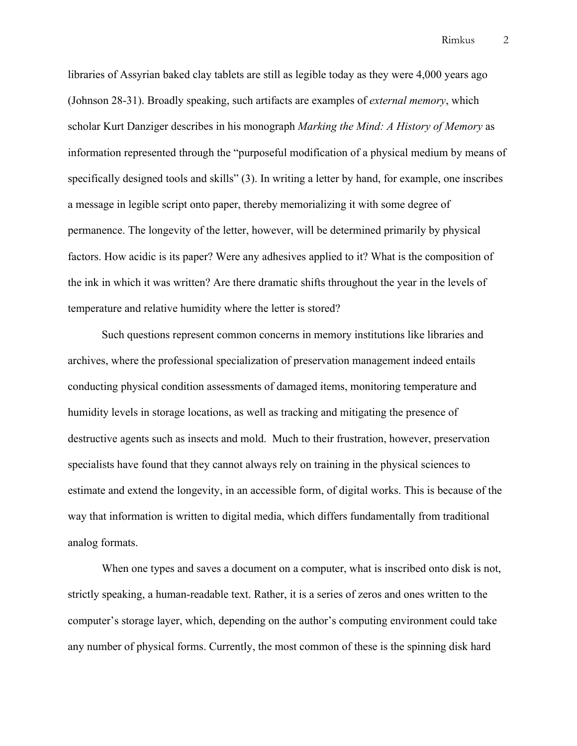libraries of Assyrian baked clay tablets are still as legible today as they were 4,000 years ago (Johnson 28-31). Broadly speaking, such artifacts are examples of *external memory*, which scholar Kurt Danziger describes in his monograph *Marking the Mind: A History of Memory* as information represented through the "purposeful modification of a physical medium by means of specifically designed tools and skills" (3). In writing a letter by hand, for example, one inscribes a message in legible script onto paper, thereby memorializing it with some degree of permanence. The longevity of the letter, however, will be determined primarily by physical factors. How acidic is its paper? Were any adhesives applied to it? What is the composition of the ink in which it was written? Are there dramatic shifts throughout the year in the levels of temperature and relative humidity where the letter is stored?

Such questions represent common concerns in memory institutions like libraries and archives, where the professional specialization of preservation management indeed entails conducting physical condition assessments of damaged items, monitoring temperature and humidity levels in storage locations, as well as tracking and mitigating the presence of destructive agents such as insects and mold. Much to their frustration, however, preservation specialists have found that they cannot always rely on training in the physical sciences to estimate and extend the longevity, in an accessible form, of digital works. This is because of the way that information is written to digital media, which differs fundamentally from traditional analog formats.

When one types and saves a document on a computer, what is inscribed onto disk is not, strictly speaking, a human-readable text. Rather, it is a series of zeros and ones written to the computer's storage layer, which, depending on the author's computing environment could take any number of physical forms. Currently, the most common of these is the spinning disk hard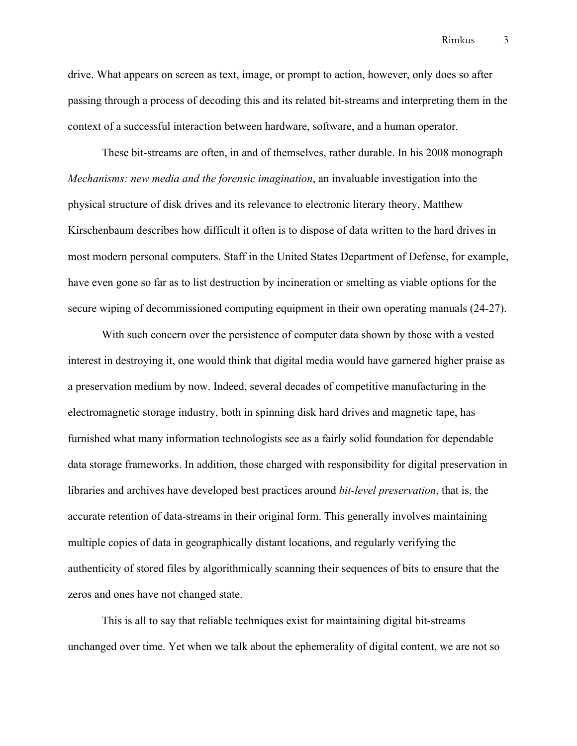drive. What appears on screen as text, image, or prompt to action, however, only does so after passing through a process of decoding this and its related bit-streams and interpreting them in the context of a successful interaction between hardware, software, and a human operator.

These bit-streams are often, in and of themselves, rather durable. In his 2008 monograph *Mechanisms: new media and the forensic imagination*, an invaluable investigation into the physical structure of disk drives and its relevance to electronic literary theory, Matthew Kirschenbaum describes how difficult it often is to dispose of data written to the hard drives in most modern personal computers. Staff in the United States Department of Defense, for example, have even gone so far as to list destruction by incineration or smelting as viable options for the secure wiping of decommissioned computing equipment in their own operating manuals (24-27).

With such concern over the persistence of computer data shown by those with a vested interest in destroying it, one would think that digital media would have garnered higher praise as a preservation medium by now. Indeed, several decades of competitive manufacturing in the electromagnetic storage industry, both in spinning disk hard drives and magnetic tape, has furnished what many information technologists see as a fairly solid foundation for dependable data storage frameworks. In addition, those charged with responsibility for digital preservation in libraries and archives have developed best practices around *bit-level preservation*, that is, the accurate retention of data-streams in their original form. This generally involves maintaining multiple copies of data in geographically distant locations, and regularly verifying the authenticity of stored files by algorithmically scanning their sequences of bits to ensure that the zeros and ones have not changed state.

This is all to say that reliable techniques exist for maintaining digital bit-streams unchanged over time. Yet when we talk about the ephemerality of digital content, we are not so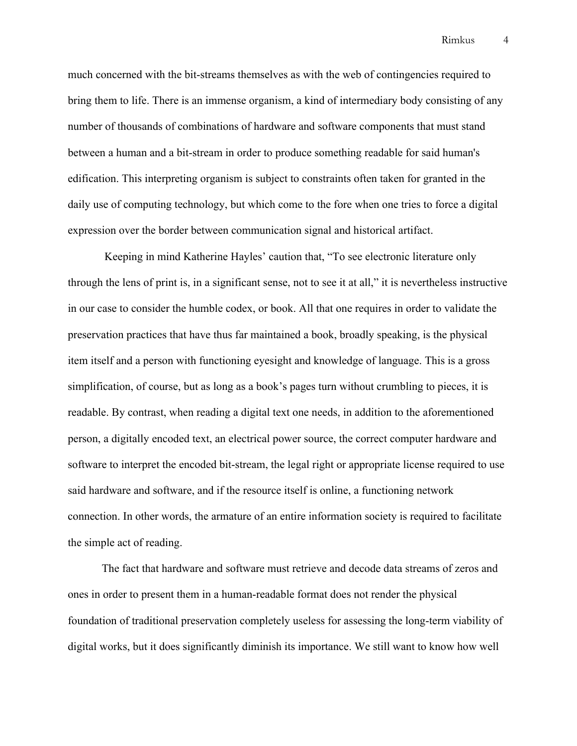much concerned with the bit-streams themselves as with the web of contingencies required to bring them to life. There is an immense organism, a kind of intermediary body consisting of any number of thousands of combinations of hardware and software components that must stand between a human and a bit-stream in order to produce something readable for said human's edification. This interpreting organism is subject to constraints often taken for granted in the daily use of computing technology, but which come to the fore when one tries to force a digital expression over the border between communication signal and historical artifact.

Keeping in mind Katherine Hayles' caution that, "To see electronic literature only through the lens of print is, in a significant sense, not to see it at all," it is nevertheless instructive in our case to consider the humble codex, or book. All that one requires in order to validate the preservation practices that have thus far maintained a book, broadly speaking, is the physical item itself and a person with functioning eyesight and knowledge of language. This is a gross simplification, of course, but as long as a book's pages turn without crumbling to pieces, it is readable. By contrast, when reading a digital text one needs, in addition to the aforementioned person, a digitally encoded text, an electrical power source, the correct computer hardware and software to interpret the encoded bit-stream, the legal right or appropriate license required to use said hardware and software, and if the resource itself is online, a functioning network connection. In other words, the armature of an entire information society is required to facilitate the simple act of reading.

The fact that hardware and software must retrieve and decode data streams of zeros and ones in order to present them in a human-readable format does not render the physical foundation of traditional preservation completely useless for assessing the long-term viability of digital works, but it does significantly diminish its importance. We still want to know how well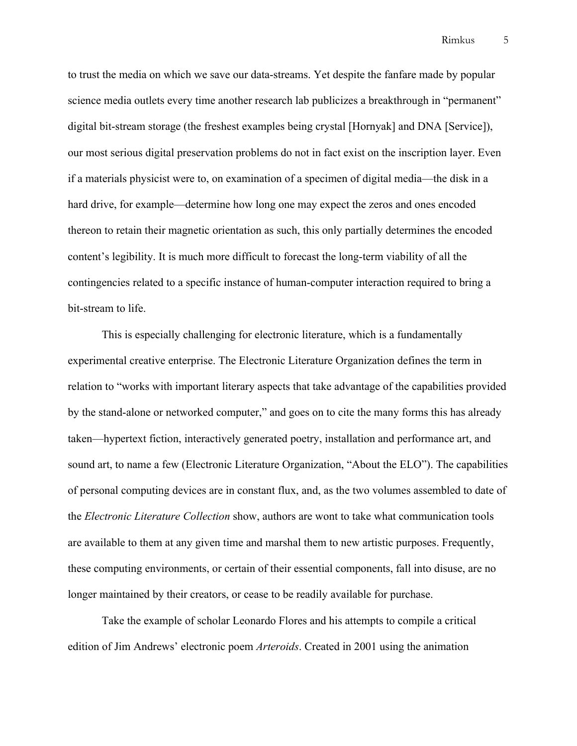to trust the media on which we save our data-streams. Yet despite the fanfare made by popular science media outlets every time another research lab publicizes a breakthrough in "permanent" digital bit-stream storage (the freshest examples being crystal [Hornyak] and DNA [Service]), our most serious digital preservation problems do not in fact exist on the inscription layer. Even if a materials physicist were to, on examination of a specimen of digital media—the disk in a hard drive, for example—determine how long one may expect the zeros and ones encoded thereon to retain their magnetic orientation as such, this only partially determines the encoded content's legibility. It is much more difficult to forecast the long-term viability of all the contingencies related to a specific instance of human-computer interaction required to bring a bit-stream to life.

This is especially challenging for electronic literature, which is a fundamentally experimental creative enterprise. The Electronic Literature Organization defines the term in relation to "works with important literary aspects that take advantage of the capabilities provided by the stand-alone or networked computer," and goes on to cite the many forms this has already taken—hypertext fiction, interactively generated poetry, installation and performance art, and sound art, to name a few (Electronic Literature Organization, "About the ELO"). The capabilities of personal computing devices are in constant flux, and, as the two volumes assembled to date of the *Electronic Literature Collection* show, authors are wont to take what communication tools are available to them at any given time and marshal them to new artistic purposes. Frequently, these computing environments, or certain of their essential components, fall into disuse, are no longer maintained by their creators, or cease to be readily available for purchase.

Take the example of scholar Leonardo Flores and his attempts to compile a critical edition of Jim Andrews' electronic poem *Arteroids*. Created in 2001 using the animation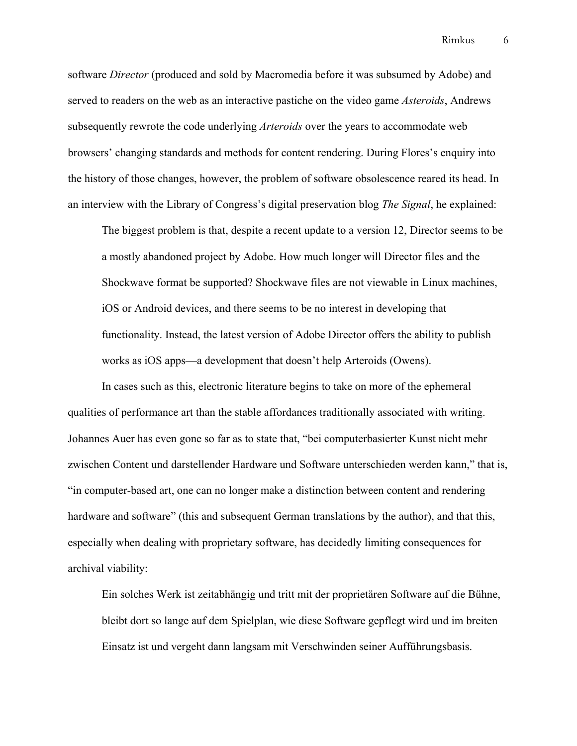software *Director* (produced and sold by Macromedia before it was subsumed by Adobe) and served to readers on the web as an interactive pastiche on the video game *Asteroids*, Andrews subsequently rewrote the code underlying *Arteroids* over the years to accommodate web browsers' changing standards and methods for content rendering. During Flores's enquiry into the history of those changes, however, the problem of software obsolescence reared its head. In an interview with the Library of Congress's digital preservation blog *The Signal*, he explained:

The biggest problem is that, despite a recent update to a version 12, Director seems to be a mostly abandoned project by Adobe. How much longer will Director files and the Shockwave format be supported? Shockwave files are not viewable in Linux machines, iOS or Android devices, and there seems to be no interest in developing that functionality. Instead, the latest version of Adobe Director offers the ability to publish works as iOS apps—a development that doesn't help Arteroids (Owens).

In cases such as this, electronic literature begins to take on more of the ephemeral qualities of performance art than the stable affordances traditionally associated with writing. Johannes Auer has even gone so far as to state that, "bei computerbasierter Kunst nicht mehr zwischen Content und darstellender Hardware und Software unterschieden werden kann," that is, "in computer-based art, one can no longer make a distinction between content and rendering hardware and software" (this and subsequent German translations by the author), and that this, especially when dealing with proprietary software, has decidedly limiting consequences for archival viability:

Ein solches Werk ist zeitabhängig und tritt mit der proprietären Software auf die Bühne, bleibt dort so lange auf dem Spielplan, wie diese Software gepflegt wird und im breiten Einsatz ist und vergeht dann langsam mit Verschwinden seiner Aufführungsbasis.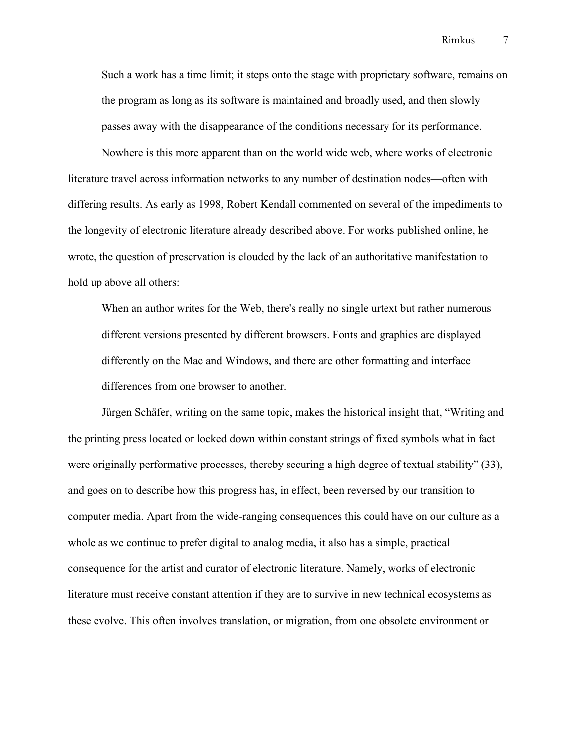Such a work has a time limit; it steps onto the stage with proprietary software, remains on the program as long as its software is maintained and broadly used, and then slowly passes away with the disappearance of the conditions necessary for its performance.

Nowhere is this more apparent than on the world wide web, where works of electronic literature travel across information networks to any number of destination nodes—often with differing results. As early as 1998, Robert Kendall commented on several of the impediments to the longevity of electronic literature already described above. For works published online, he wrote, the question of preservation is clouded by the lack of an authoritative manifestation to hold up above all others:

When an author writes for the Web, there's really no single urtext but rather numerous different versions presented by different browsers. Fonts and graphics are displayed differently on the Mac and Windows, and there are other formatting and interface differences from one browser to another.

Jürgen Schäfer, writing on the same topic, makes the historical insight that, "Writing and the printing press located or locked down within constant strings of fixed symbols what in fact were originally performative processes, thereby securing a high degree of textual stability" (33), and goes on to describe how this progress has, in effect, been reversed by our transition to computer media. Apart from the wide-ranging consequences this could have on our culture as a whole as we continue to prefer digital to analog media, it also has a simple, practical consequence for the artist and curator of electronic literature. Namely, works of electronic literature must receive constant attention if they are to survive in new technical ecosystems as these evolve. This often involves translation, or migration, from one obsolete environment or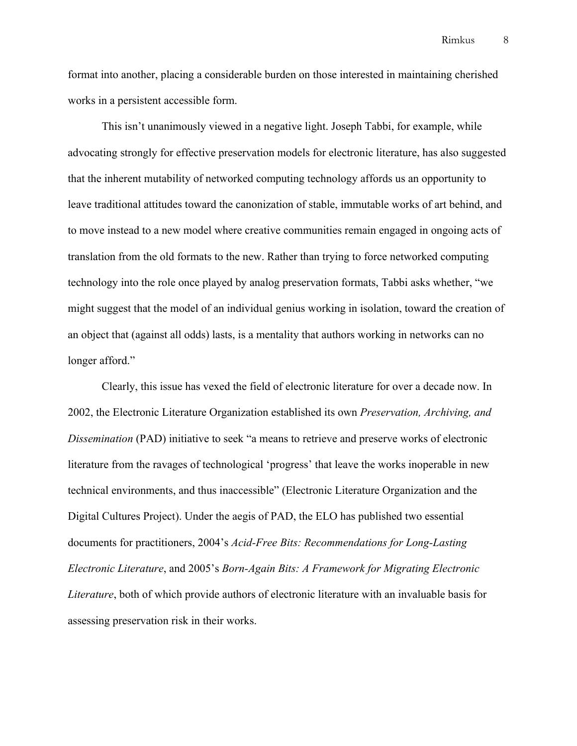format into another, placing a considerable burden on those interested in maintaining cherished works in a persistent accessible form.

This isn't unanimously viewed in a negative light. Joseph Tabbi, for example, while advocating strongly for effective preservation models for electronic literature, has also suggested that the inherent mutability of networked computing technology affords us an opportunity to leave traditional attitudes toward the canonization of stable, immutable works of art behind, and to move instead to a new model where creative communities remain engaged in ongoing acts of translation from the old formats to the new. Rather than trying to force networked computing technology into the role once played by analog preservation formats, Tabbi asks whether, "we might suggest that the model of an individual genius working in isolation, toward the creation of an object that (against all odds) lasts, is a mentality that authors working in networks can no longer afford."

Clearly, this issue has vexed the field of electronic literature for over a decade now. In 2002, the Electronic Literature Organization established its own *Preservation, Archiving, and Dissemination* (PAD) initiative to seek "a means to retrieve and preserve works of electronic literature from the ravages of technological 'progress' that leave the works inoperable in new technical environments, and thus inaccessible" (Electronic Literature Organization and the Digital Cultures Project). Under the aegis of PAD, the ELO has published two essential documents for practitioners, 2004's *Acid-Free Bits: Recommendations for Long-Lasting Electronic Literature*, and 2005's *Born-Again Bits: A Framework for Migrating Electronic Literature*, both of which provide authors of electronic literature with an invaluable basis for assessing preservation risk in their works.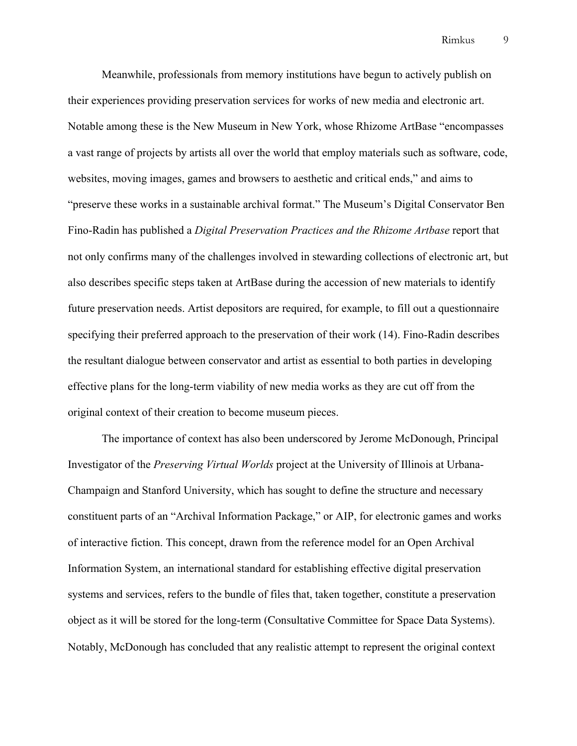Meanwhile, professionals from memory institutions have begun to actively publish on their experiences providing preservation services for works of new media and electronic art. Notable among these is the New Museum in New York, whose Rhizome ArtBase "encompasses a vast range of projects by artists all over the world that employ materials such as software, code, websites, moving images, games and browsers to aesthetic and critical ends," and aims to "preserve these works in a sustainable archival format." The Museum's Digital Conservator Ben Fino-Radin has published a *Digital Preservation Practices and the Rhizome Artbase* report that not only confirms many of the challenges involved in stewarding collections of electronic art, but also describes specific steps taken at ArtBase during the accession of new materials to identify future preservation needs. Artist depositors are required, for example, to fill out a questionnaire specifying their preferred approach to the preservation of their work (14). Fino-Radin describes the resultant dialogue between conservator and artist as essential to both parties in developing effective plans for the long-term viability of new media works as they are cut off from the original context of their creation to become museum pieces.

The importance of context has also been underscored by Jerome McDonough, Principal Investigator of the *Preserving Virtual Worlds* project at the University of Illinois at Urbana-Champaign and Stanford University, which has sought to define the structure and necessary constituent parts of an "Archival Information Package," or AIP, for electronic games and works of interactive fiction. This concept, drawn from the reference model for an Open Archival Information System, an international standard for establishing effective digital preservation systems and services, refers to the bundle of files that, taken together, constitute a preservation object as it will be stored for the long-term (Consultative Committee for Space Data Systems). Notably, McDonough has concluded that any realistic attempt to represent the original context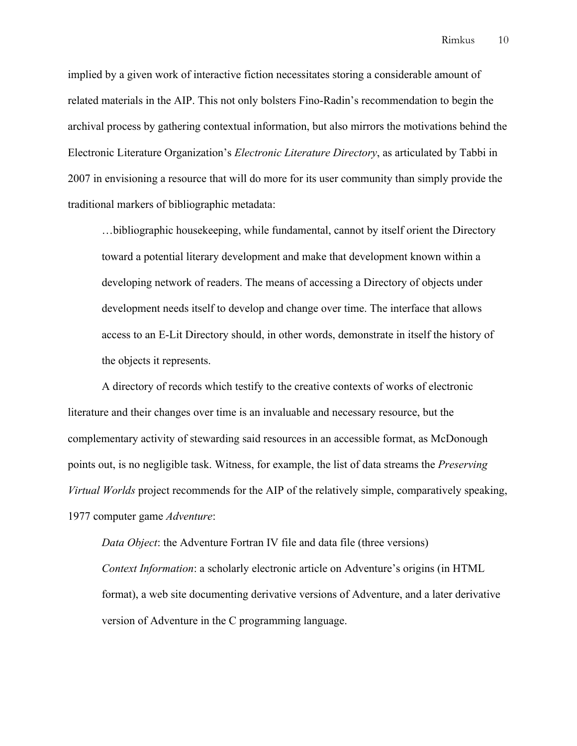implied by a given work of interactive fiction necessitates storing a considerable amount of related materials in the AIP. This not only bolsters Fino-Radin's recommendation to begin the archival process by gathering contextual information, but also mirrors the motivations behind the Electronic Literature Organization's *Electronic Literature Directory*, as articulated by Tabbi in 2007 in envisioning a resource that will do more for its user community than simply provide the traditional markers of bibliographic metadata:

…bibliographic housekeeping, while fundamental, cannot by itself orient the Directory toward a potential literary development and make that development known within a developing network of readers. The means of accessing a Directory of objects under development needs itself to develop and change over time. The interface that allows access to an E-Lit Directory should, in other words, demonstrate in itself the history of the objects it represents.

A directory of records which testify to the creative contexts of works of electronic literature and their changes over time is an invaluable and necessary resource, but the complementary activity of stewarding said resources in an accessible format, as McDonough points out, is no negligible task. Witness, for example, the list of data streams the *Preserving Virtual Worlds* project recommends for the AIP of the relatively simple, comparatively speaking, 1977 computer game *Adventure*:

*Data Object*: the Adventure Fortran IV file and data file (three versions) *Context Information*: a scholarly electronic article on Adventure's origins (in HTML format), a web site documenting derivative versions of Adventure, and a later derivative version of Adventure in the C programming language.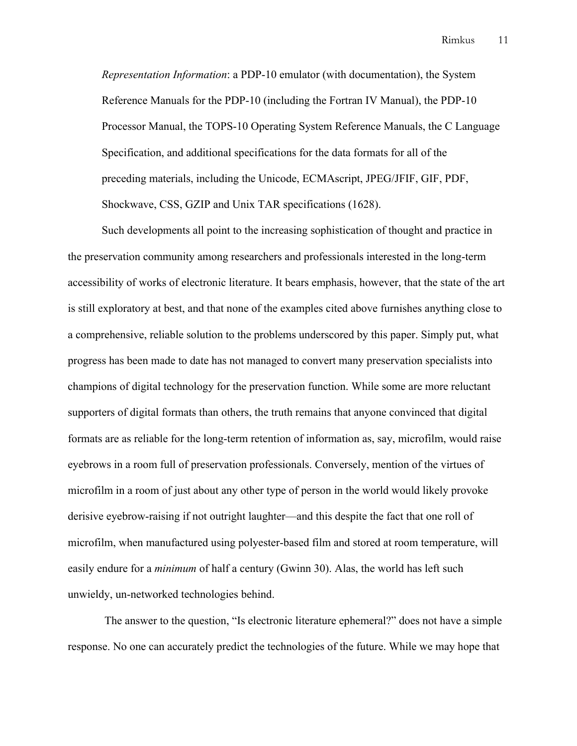*Representation Information*: a PDP-10 emulator (with documentation), the System Reference Manuals for the PDP-10 (including the Fortran IV Manual), the PDP-10 Processor Manual, the TOPS-10 Operating System Reference Manuals, the C Language Specification, and additional specifications for the data formats for all of the preceding materials, including the Unicode, ECMAscript, JPEG/JFIF, GIF, PDF, Shockwave, CSS, GZIP and Unix TAR specifications (1628).

Such developments all point to the increasing sophistication of thought and practice in the preservation community among researchers and professionals interested in the long-term accessibility of works of electronic literature. It bears emphasis, however, that the state of the art is still exploratory at best, and that none of the examples cited above furnishes anything close to a comprehensive, reliable solution to the problems underscored by this paper. Simply put, what progress has been made to date has not managed to convert many preservation specialists into champions of digital technology for the preservation function. While some are more reluctant supporters of digital formats than others, the truth remains that anyone convinced that digital formats are as reliable for the long-term retention of information as, say, microfilm, would raise eyebrows in a room full of preservation professionals. Conversely, mention of the virtues of microfilm in a room of just about any other type of person in the world would likely provoke derisive eyebrow-raising if not outright laughter—and this despite the fact that one roll of microfilm, when manufactured using polyester-based film and stored at room temperature, will easily endure for a *minimum* of half a century (Gwinn 30). Alas, the world has left such unwieldy, un-networked technologies behind.

The answer to the question, "Is electronic literature ephemeral?" does not have a simple response. No one can accurately predict the technologies of the future. While we may hope that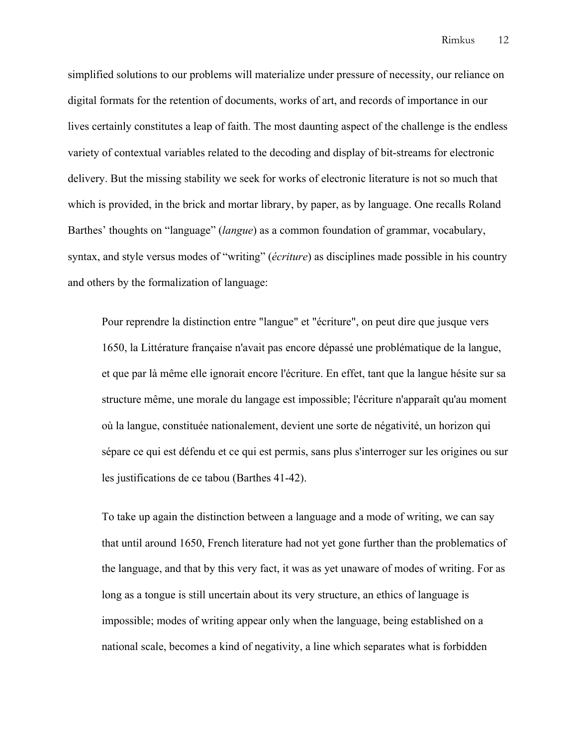simplified solutions to our problems will materialize under pressure of necessity, our reliance on digital formats for the retention of documents, works of art, and records of importance in our lives certainly constitutes a leap of faith. The most daunting aspect of the challenge is the endless variety of contextual variables related to the decoding and display of bit-streams for electronic delivery. But the missing stability we seek for works of electronic literature is not so much that which is provided, in the brick and mortar library, by paper, as by language. One recalls Roland Barthes' thoughts on "language" (*langue*) as a common foundation of grammar, vocabulary, syntax, and style versus modes of "writing" (*écriture*) as disciplines made possible in his country and others by the formalization of language:

Pour reprendre la distinction entre "langue" et "écriture", on peut dire que jusque vers 1650, la Littérature française n'avait pas encore dépassé une problématique de la langue, et que par là même elle ignorait encore l'écriture. En effet, tant que la langue hésite sur sa structure même, une morale du langage est impossible; l'écriture n'apparaît qu'au moment où la langue, constituée nationalement, devient une sorte de négativité, un horizon qui sépare ce qui est défendu et ce qui est permis, sans plus s'interroger sur les origines ou sur les justifications de ce tabou (Barthes 41-42).

To take up again the distinction between a language and a mode of writing, we can say that until around 1650, French literature had not yet gone further than the problematics of the language, and that by this very fact, it was as yet unaware of modes of writing. For as long as a tongue is still uncertain about its very structure, an ethics of language is impossible; modes of writing appear only when the language, being established on a national scale, becomes a kind of negativity, a line which separates what is forbidden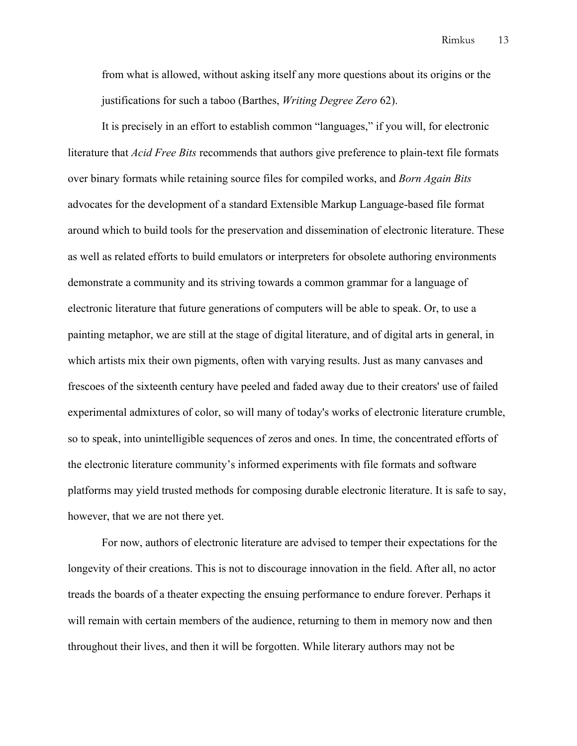from what is allowed, without asking itself any more questions about its origins or the justifications for such a taboo (Barthes, *Writing Degree Zero* 62).

It is precisely in an effort to establish common "languages," if you will, for electronic literature that *Acid Free Bits* recommends that authors give preference to plain-text file formats over binary formats while retaining source files for compiled works, and *Born Again Bits*  advocates for the development of a standard Extensible Markup Language-based file format around which to build tools for the preservation and dissemination of electronic literature. These as well as related efforts to build emulators or interpreters for obsolete authoring environments demonstrate a community and its striving towards a common grammar for a language of electronic literature that future generations of computers will be able to speak. Or, to use a painting metaphor, we are still at the stage of digital literature, and of digital arts in general, in which artists mix their own pigments, often with varying results. Just as many canvases and frescoes of the sixteenth century have peeled and faded away due to their creators' use of failed experimental admixtures of color, so will many of today's works of electronic literature crumble, so to speak, into unintelligible sequences of zeros and ones. In time, the concentrated efforts of the electronic literature community's informed experiments with file formats and software platforms may yield trusted methods for composing durable electronic literature. It is safe to say, however, that we are not there yet.

For now, authors of electronic literature are advised to temper their expectations for the longevity of their creations. This is not to discourage innovation in the field. After all, no actor treads the boards of a theater expecting the ensuing performance to endure forever. Perhaps it will remain with certain members of the audience, returning to them in memory now and then throughout their lives, and then it will be forgotten. While literary authors may not be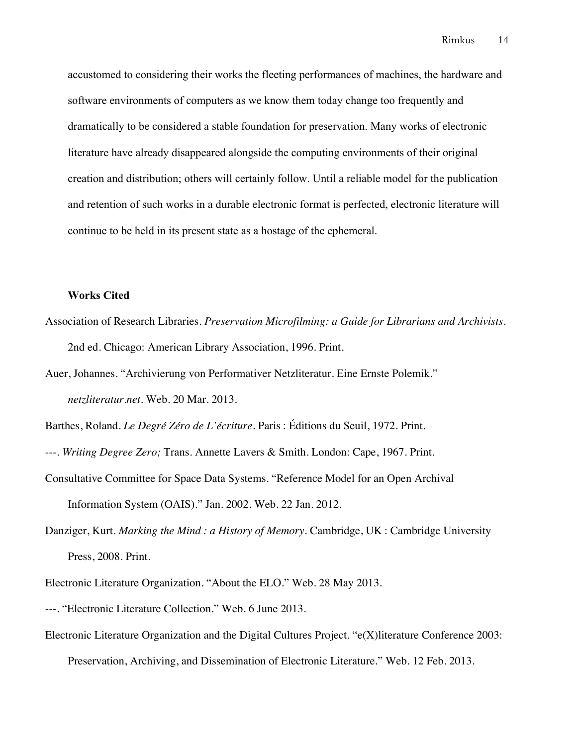accustomed to considering their works the fleeting performances of machines, the hardware and software environments of computers as we know them today change too frequently and dramatically to be considered a stable foundation for preservation. Many works of electronic literature have already disappeared alongside the computing environments of their original creation and distribution; others will certainly follow. Until a reliable model for the publication and retention of such works in a durable electronic format is perfected, electronic literature will continue to be held in its present state as a hostage of the ephemeral.

## **Works Cited**

- Association of Research Libraries. *Preservation Microfilming: a Guide for Librarians and Archivists*. 2nd ed. Chicago: American Library Association, 1996. Print.
- Auer, Johannes. "Archivierung von Performativer Netzliteratur. Eine Ernste Polemik." *netzliteratur.net*. Web. 20 Mar. 2013.

Barthes, Roland. *Le Degré Zéro de L'écriture.* Paris : Éditions du Seuil, 1972. Print.

- ---. *Writing Degree Zero;* Trans. Annette Lavers & Smith. London: Cape, 1967. Print.
- Consultative Committee for Space Data Systems. "Reference Model for an Open Archival Information System (OAIS)." Jan. 2002. Web. 22 Jan. 2012.
- Danziger, Kurt. *Marking the Mind : a History of Memory*. Cambridge, UK : Cambridge University Press, 2008. Print.
- Electronic Literature Organization. "About the ELO." Web. 28 May 2013.
- ---. "Electronic Literature Collection." Web. 6 June 2013.
- Electronic Literature Organization and the Digital Cultures Project. "e(X)literature Conference 2003: Preservation, Archiving, and Dissemination of Electronic Literature." Web. 12 Feb. 2013.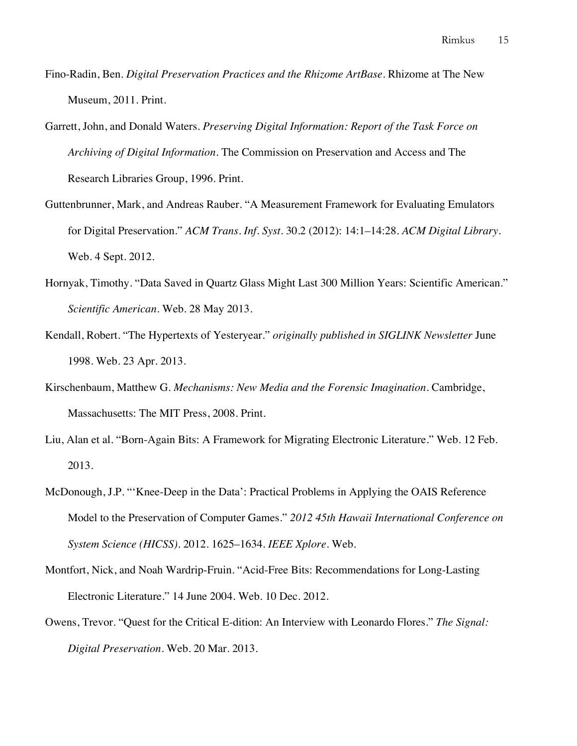- Fino-Radin, Ben. *Digital Preservation Practices and the Rhizome ArtBase*. Rhizome at The New Museum, 2011. Print.
- Garrett, John, and Donald Waters. *Preserving Digital Information: Report of the Task Force on Archiving of Digital Information*. The Commission on Preservation and Access and The Research Libraries Group, 1996. Print.
- Guttenbrunner, Mark, and Andreas Rauber. "A Measurement Framework for Evaluating Emulators for Digital Preservation." *ACM Trans. Inf. Syst.* 30.2 (2012): 14:1–14:28. *ACM Digital Library*. Web. 4 Sept. 2012.
- Hornyak, Timothy. "Data Saved in Quartz Glass Might Last 300 Million Years: Scientific American." *Scientific American*. Web. 28 May 2013.
- Kendall, Robert. "The Hypertexts of Yesteryear." *originally published in SIGLINK Newsletter* June 1998. Web. 23 Apr. 2013.
- Kirschenbaum, Matthew G. *Mechanisms: New Media and the Forensic Imagination*. Cambridge, Massachusetts: The MIT Press, 2008. Print.
- Liu, Alan et al. "Born-Again Bits: A Framework for Migrating Electronic Literature." Web. 12 Feb. 2013.
- McDonough, J.P. "'Knee-Deep in the Data': Practical Problems in Applying the OAIS Reference Model to the Preservation of Computer Games." *2012 45th Hawaii International Conference on System Science (HICSS)*. 2012. 1625–1634. *IEEE Xplore*. Web.
- Montfort, Nick, and Noah Wardrip-Fruin. "Acid-Free Bits: Recommendations for Long-Lasting Electronic Literature." 14 June 2004. Web. 10 Dec. 2012.
- Owens, Trevor. "Quest for the Critical E-dition: An Interview with Leonardo Flores." *The Signal: Digital Preservation*. Web. 20 Mar. 2013.